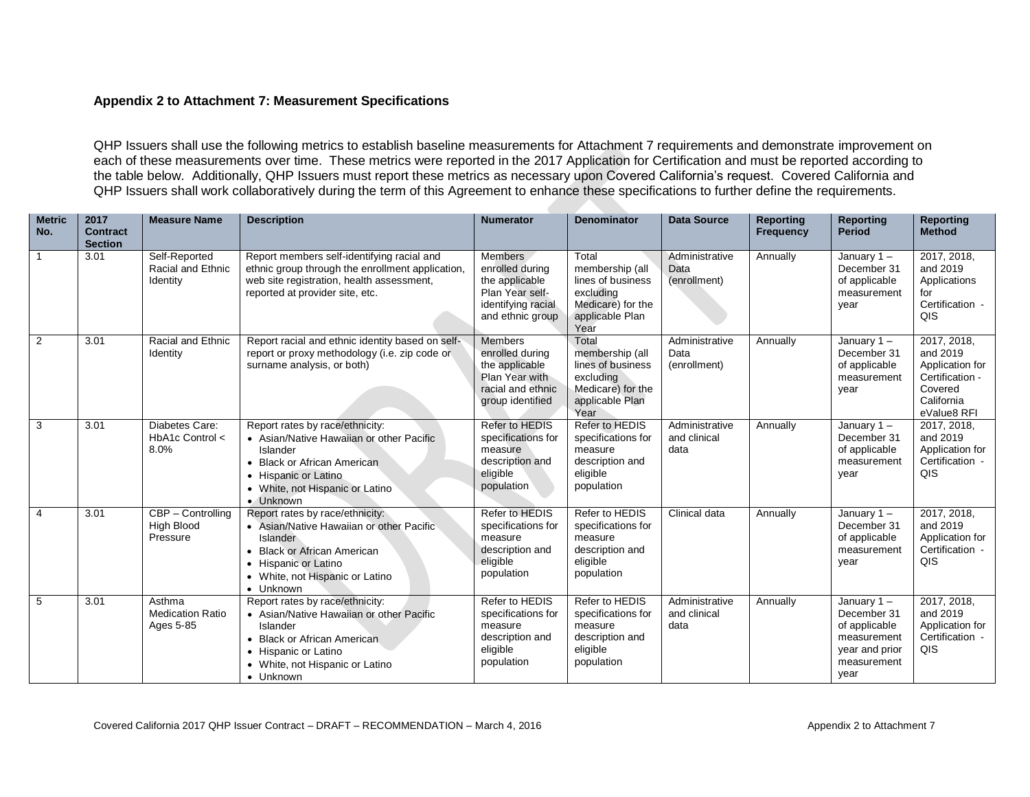## **Appendix 2 to Attachment 7: Measurement Specifications**

QHP Issuers shall use the following metrics to establish baseline measurements for Attachment 7 requirements and demonstrate improvement on each of these measurements over time. These metrics were reported in the 2017 Application for Certification and must be reported according to the table below. Additionally, QHP Issuers must report these metrics as necessary upon Covered California's request. Covered California and QHP Issuers shall work collaboratively during the term of this Agreement to enhance these specifications to further define the requirements.

| <b>Metric</b><br>No. | 2017<br><b>Contract</b><br><b>Section</b> | <b>Measure Name</b>                             | <b>Description</b>                                                                                                                                                                                    | <b>Numerator</b>                                                                                                 | <b>Denominator</b>                                                                                         | <b>Data Source</b>                     | <b>Reporting</b><br><b>Frequency</b> | <b>Reporting</b><br><b>Period</b>                                                                     | <b>Reporting</b><br><b>Method</b>                                                                     |
|----------------------|-------------------------------------------|-------------------------------------------------|-------------------------------------------------------------------------------------------------------------------------------------------------------------------------------------------------------|------------------------------------------------------------------------------------------------------------------|------------------------------------------------------------------------------------------------------------|----------------------------------------|--------------------------------------|-------------------------------------------------------------------------------------------------------|-------------------------------------------------------------------------------------------------------|
|                      | 3.01                                      | Self-Reported<br>Racial and Ethnic<br>Identity  | Report members self-identifying racial and<br>ethnic group through the enrollment application,<br>web site registration, health assessment,<br>reported at provider site, etc.                        | <b>Members</b><br>enrolled during<br>the applicable<br>Plan Year self-<br>identifying racial<br>and ethnic group | Total<br>membership (all<br>lines of business<br>excluding<br>Medicare) for the<br>applicable Plan<br>Year | Administrative<br>Data<br>(enrollment) | Annually                             | January $1 -$<br>December 31<br>of applicable<br>measurement<br>year                                  | 2017, 2018,<br>and 2019<br>Applications<br>for<br>Certification -<br>QIS                              |
| $\overline{2}$       | 3.01                                      | Racial and Ethnic<br>Identity                   | Report racial and ethnic identity based on self-<br>report or proxy methodology (i.e. zip code or<br>surname analysis, or both)                                                                       | Members<br>enrolled during<br>the applicable<br>Plan Year with<br>racial and ethnic<br>group identified          | Total<br>membership (all<br>lines of business<br>excluding<br>Medicare) for the<br>applicable Plan<br>Year | Administrative<br>Data<br>(enrollment) | Annually                             | January $1 -$<br>December 31<br>of applicable<br>measurement<br>year                                  | 2017, 2018,<br>and 2019<br>Application for<br>Certification -<br>Covered<br>California<br>eValue8 RFI |
| 3                    | 3.01                                      | Diabetes Care:<br>$HbA1c$ Control $\lt$<br>8.0% | Report rates by race/ethnicity:<br>• Asian/Native Hawaiian or other Pacific<br>Islander<br>• Black or African American<br>• Hispanic or Latino<br>• White, not Hispanic or Latino<br>• Unknown        | Refer to HEDIS<br>specifications for<br>measure<br>description and<br>eligible<br>population                     | Refer to HEDIS<br>specifications for<br>measure<br>description and<br>eligible<br>population               | Administrative<br>and clinical<br>data | Annually                             | January $1 -$<br>December 31<br>of applicable<br>measurement<br>year                                  | 2017, 2018,<br>and 2019<br>Application for<br>Certification -<br>QIS                                  |
| $\overline{4}$       | 3.01                                      | CBP - Controlling<br>High Blood<br>Pressure     | Report rates by race/ethnicity:<br>• Asian/Native Hawaiian or other Pacific<br><b>Islander</b><br>• Black or African American<br>• Hispanic or Latino<br>• White, not Hispanic or Latino<br>• Unknown | Refer to HEDIS<br>specifications for<br>measure<br>description and<br>eligible<br>population                     | Refer to HEDIS<br>specifications for<br>measure<br>description and<br>eligible<br>population               | Clinical data                          | Annually                             | January $1 -$<br>December 31<br>of applicable<br>measurement<br>year                                  | 2017, 2018,<br>and 2019<br>Application for<br>Certification -<br>QIS                                  |
| 5                    | 3.01                                      | Asthma<br><b>Medication Ratio</b><br>Ages 5-85  | Report rates by race/ethnicity:<br>• Asian/Native Hawaiian or other Pacific<br>Islander<br>• Black or African American<br>• Hispanic or Latino<br>• White, not Hispanic or Latino<br>• Unknown        | Refer to HEDIS<br>specifications for<br>measure<br>description and<br>eligible<br>population                     | Refer to HEDIS<br>specifications for<br>measure<br>description and<br>eligible<br>population               | Administrative<br>and clinical<br>data | Annually                             | January $1 -$<br>December 31<br>of applicable<br>measurement<br>year and prior<br>measurement<br>year | 2017, 2018,<br>and 2019<br>Application for<br>Certification -<br>QIS                                  |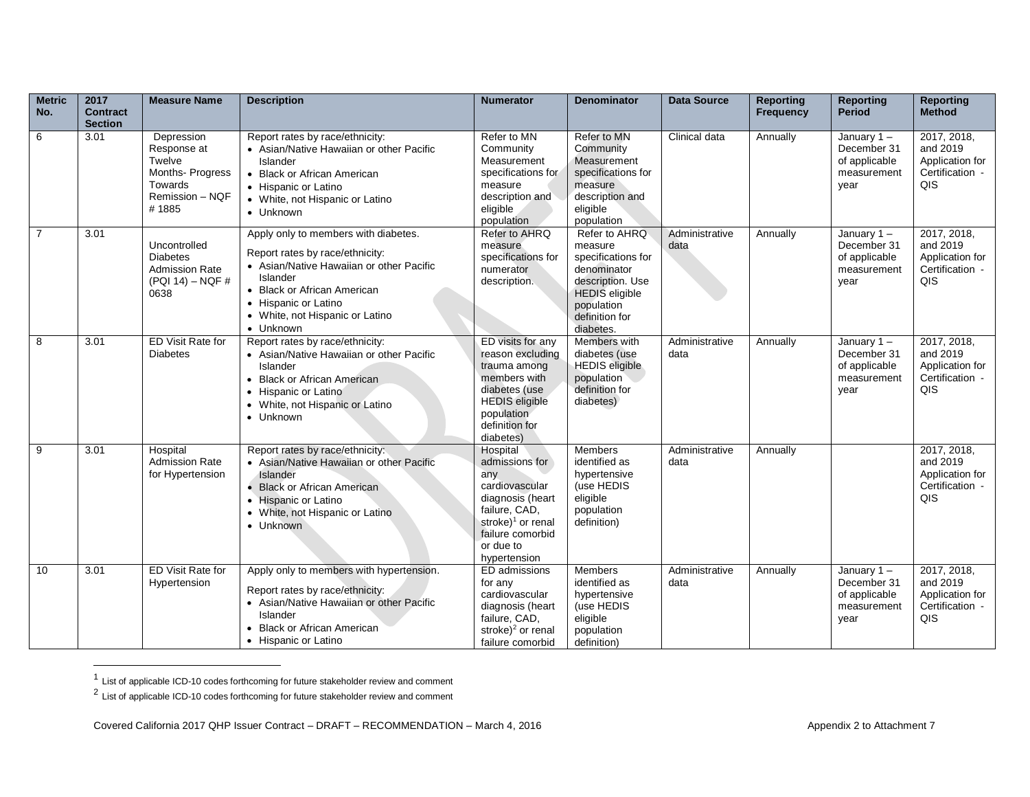| <b>Metric</b><br>No. | 2017<br><b>Contract</b><br><b>Section</b> | <b>Measure Name</b>                                                                            | <b>Description</b>                                                                                                                                                                                                                     | <b>Numerator</b>                                                                                                                                                           | <b>Denominator</b>                                                                                                                                      | <b>Data Source</b>     | <b>Reporting</b><br><b>Frequency</b> | <b>Reporting</b><br><b>Period</b>                                    | <b>Reporting</b><br><b>Method</b>                                    |
|----------------------|-------------------------------------------|------------------------------------------------------------------------------------------------|----------------------------------------------------------------------------------------------------------------------------------------------------------------------------------------------------------------------------------------|----------------------------------------------------------------------------------------------------------------------------------------------------------------------------|---------------------------------------------------------------------------------------------------------------------------------------------------------|------------------------|--------------------------------------|----------------------------------------------------------------------|----------------------------------------------------------------------|
| 6                    | 3.01                                      | Depression<br>Response at<br>Twelve<br>Months- Progress<br>Towards<br>Remission - NQF<br>#1885 | Report rates by race/ethnicity:<br>• Asian/Native Hawaiian or other Pacific<br>Islander<br>• Black or African American<br>• Hispanic or Latino<br>• White, not Hispanic or Latino<br>• Unknown                                         | Refer to MN<br>Community<br>Measurement<br>specifications for<br>measure<br>description and<br>eligible<br>population                                                      | Refer to MN<br>Community<br>Measurement<br>specifications for<br>measure<br>description and<br>eligible<br>population                                   | Clinical data          | Annually                             | January $1 -$<br>December 31<br>of applicable<br>measurement<br>year | 2017, 2018,<br>and 2019<br>Application for<br>Certification -<br>QIS |
| $\overline{7}$       | 3.01                                      | Uncontrolled<br><b>Diabetes</b><br><b>Admission Rate</b><br>(PQI 14) – NQF #<br>0638           | Apply only to members with diabetes.<br>Report rates by race/ethnicity:<br>• Asian/Native Hawaiian or other Pacific<br>Islander<br>• Black or African American<br>• Hispanic or Latino<br>• White, not Hispanic or Latino<br>• Unknown | Refer to AHRQ<br>measure<br>specifications for<br>numerator<br>description.                                                                                                | Refer to AHRQ<br>measure<br>specifications for<br>denominator<br>description. Use<br><b>HEDIS</b> eligible<br>population<br>definition for<br>diabetes. | Administrative<br>data | Annually                             | January $1 -$<br>December 31<br>of applicable<br>measurement<br>year | 2017, 2018,<br>and 2019<br>Application for<br>Certification -<br>QIS |
| 8                    | 3.01                                      | <b>ED Visit Rate for</b><br><b>Diabetes</b>                                                    | Report rates by race/ethnicity:<br>• Asian/Native Hawaiian or other Pacific<br>Islander<br>• Black or African American<br>• Hispanic or Latino<br>• White, not Hispanic or Latino<br>• Unknown                                         | ED visits for any<br>reason excluding<br>trauma among<br>members with<br>diabetes (use<br><b>HEDIS</b> eligible<br>population<br>definition for<br>diabetes)               | Members with<br>diabetes (use<br><b>HEDIS</b> eligible<br>population<br>definition for<br>diabetes)                                                     | Administrative<br>data | Annually                             | January $1 -$<br>December 31<br>of applicable<br>measurement<br>year | 2017, 2018,<br>and 2019<br>Application for<br>Certification -<br>QIS |
| 9                    | 3.01                                      | Hospital<br><b>Admission Rate</b><br>for Hypertension                                          | Report rates by race/ethnicity:<br>• Asian/Native Hawaiian or other Pacific<br>Islander<br>• Black or African American<br>• Hispanic or Latino<br>• White, not Hispanic or Latino<br>• Unknown                                         | Hospital<br>admissions for<br>any<br>cardiovascular<br>diagnosis (heart<br>failure, CAD,<br>stroke) <sup>1</sup> or renal<br>failure comorbid<br>or due to<br>hypertension | <b>Members</b><br>identified as<br>hypertensive<br>(use HEDIS<br>eligible<br>population<br>definition)                                                  | Administrative<br>data | Annually                             |                                                                      | 2017, 2018,<br>and 2019<br>Application for<br>Certification -<br>QIS |
| 10                   | 3.01                                      | ED Visit Rate for<br>Hypertension                                                              | Apply only to members with hypertension.<br>Report rates by race/ethnicity:<br>• Asian/Native Hawaiian or other Pacific<br>Islander<br>• Black or African American<br>• Hispanic or Latino                                             | ED admissions<br>for any<br>cardiovascular<br>diagnosis (heart<br>failure, CAD,<br>stroke) $2$ or renal<br>failure comorbid                                                | <b>Members</b><br>identified as<br>hypertensive<br>(use HEDIS<br>eligible<br>population<br>definition)                                                  | Administrative<br>data | Annually                             | January $1 -$<br>December 31<br>of applicable<br>measurement<br>year | 2017, 2018,<br>and 2019<br>Application for<br>Certification -<br>QIS |

 1 List of applicable ICD-10 codes forthcoming for future stakeholder review and comment

 $2$  List of applicable ICD-10 codes forthcoming for future stakeholder review and comment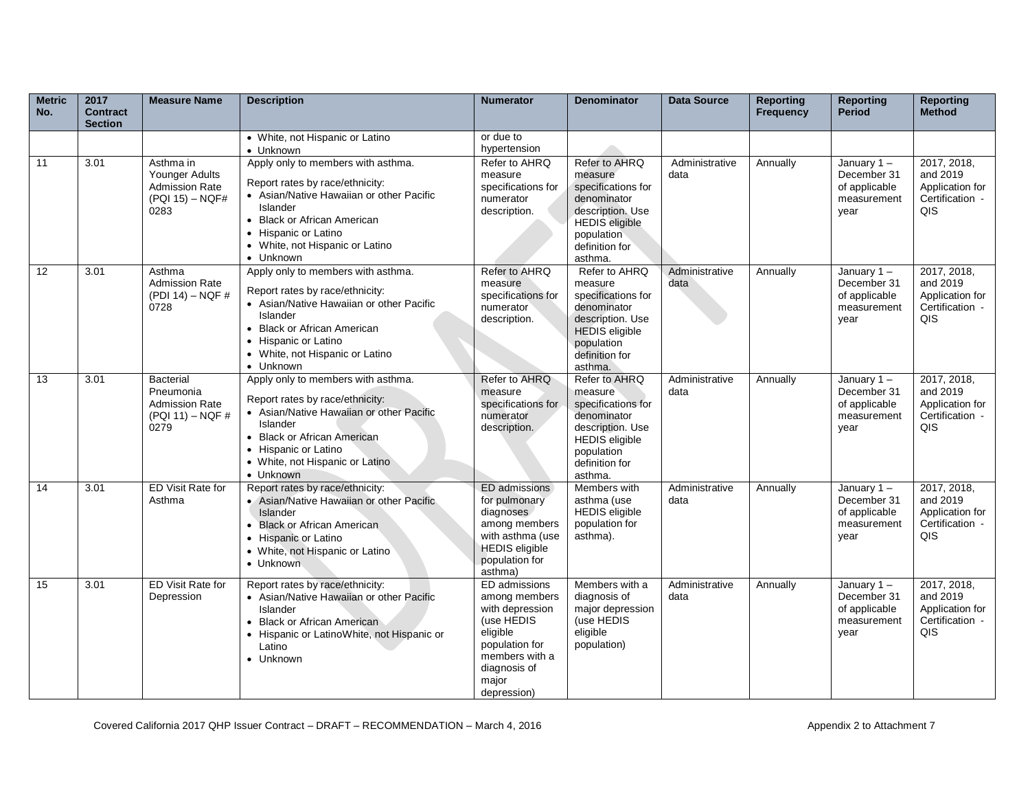| <b>Metric</b><br>No. | 2017<br><b>Contract</b><br><b>Section</b> | <b>Measure Name</b>                                                             | <b>Description</b>                                                                                                                                                                                                                   | <b>Numerator</b>                                                                                                                                        | <b>Denominator</b>                                                                                                                                    | <b>Data Source</b>     | Reporting<br><b>Frequency</b> | <b>Reporting</b><br><b>Period</b>                                    | <b>Reporting</b><br><b>Method</b>                                    |
|----------------------|-------------------------------------------|---------------------------------------------------------------------------------|--------------------------------------------------------------------------------------------------------------------------------------------------------------------------------------------------------------------------------------|---------------------------------------------------------------------------------------------------------------------------------------------------------|-------------------------------------------------------------------------------------------------------------------------------------------------------|------------------------|-------------------------------|----------------------------------------------------------------------|----------------------------------------------------------------------|
|                      |                                           |                                                                                 | • White, not Hispanic or Latino<br>• Unknown                                                                                                                                                                                         | or due to<br>hypertension                                                                                                                               |                                                                                                                                                       |                        |                               |                                                                      |                                                                      |
| 11                   | 3.01                                      | Asthma in<br>Younger Adults<br><b>Admission Rate</b><br>(PQI 15) - NQF#<br>0283 | Apply only to members with asthma.<br>Report rates by race/ethnicity:<br>• Asian/Native Hawaiian or other Pacific<br>Islander<br>• Black or African American<br>• Hispanic or Latino<br>• White, not Hispanic or Latino<br>• Unknown | Refer to AHRQ<br>measure<br>specifications for<br>numerator<br>description.                                                                             | Refer to AHRQ<br>measure<br>specifications for<br>denominator<br>description. Use<br><b>HEDIS</b> eligible<br>population<br>definition for<br>asthma. | Administrative<br>data | Annually                      | January $1 -$<br>December 31<br>of applicable<br>measurement<br>year | 2017, 2018,<br>and 2019<br>Application for<br>Certification -<br>QIS |
| 12                   | 3.01                                      | Asthma<br><b>Admission Rate</b><br>(PDI 14) - NQF #<br>0728                     | Apply only to members with asthma.<br>Report rates by race/ethnicity:<br>• Asian/Native Hawaiian or other Pacific<br>Islander<br>• Black or African American<br>• Hispanic or Latino<br>• White, not Hispanic or Latino<br>• Unknown | Refer to AHRQ<br>measure<br>specifications for<br>numerator<br>description.                                                                             | Refer to AHRQ<br>measure<br>specifications for<br>denominator<br>description. Use<br><b>HEDIS</b> eligible<br>population<br>definition for<br>asthma. | Administrative<br>data | Annually                      | January $1 -$<br>December 31<br>of applicable<br>measurement<br>year | 2017, 2018,<br>and 2019<br>Application for<br>Certification -<br>QIS |
| 13                   | 3.01                                      | Bacterial<br>Pneumonia<br><b>Admission Rate</b><br>$(PQI 11) - NQF #$<br>0279   | Apply only to members with asthma.<br>Report rates by race/ethnicity:<br>• Asian/Native Hawaiian or other Pacific<br>Islander<br>• Black or African American<br>• Hispanic or Latino<br>• White, not Hispanic or Latino<br>• Unknown | Refer to AHRQ<br>measure<br>specifications for<br>numerator<br>description.                                                                             | Refer to AHRQ<br>measure<br>specifications for<br>denominator<br>description. Use<br><b>HEDIS</b> eligible<br>population<br>definition for<br>asthma. | Administrative<br>data | Annually                      | January 1-<br>December 31<br>of applicable<br>measurement<br>vear    | 2017, 2018,<br>and 2019<br>Application for<br>Certification -<br>QIS |
| 14                   | 3.01                                      | <b>ED Visit Rate for</b><br>Asthma                                              | Report rates by race/ethnicity:<br>• Asian/Native Hawaiian or other Pacific<br>Islander<br>• Black or African American<br>• Hispanic or Latino<br>• White, not Hispanic or Latino<br>• Unknown                                       | ED admissions<br>for pulmonary<br>diagnoses<br>among members<br>with asthma (use<br><b>HEDIS</b> eligible<br>population for<br>asthma)                  | Members with<br>asthma (use<br><b>HEDIS</b> eligible<br>population for<br>asthma).                                                                    | Administrative<br>data | Annually                      | January $1 -$<br>December 31<br>of applicable<br>measurement<br>year | 2017, 2018,<br>and 2019<br>Application for<br>Certification -<br>QIS |
| 15                   | 3.01                                      | ED Visit Rate for<br>Depression                                                 | Report rates by race/ethnicity:<br>• Asian/Native Hawaiian or other Pacific<br>Islander<br>• Black or African American<br>• Hispanic or LatinoWhite, not Hispanic or<br>Latino<br>• Unknown                                          | ED admissions<br>among members<br>with depression<br>(use HEDIS<br>eligible<br>population for<br>members with a<br>diagnosis of<br>major<br>depression) | Members with a<br>diagnosis of<br>major depression<br>(use HEDIS<br>eligible<br>population)                                                           | Administrative<br>data | Annually                      | January $1 -$<br>December 31<br>of applicable<br>measurement<br>year | 2017, 2018,<br>and 2019<br>Application for<br>Certification -<br>QIS |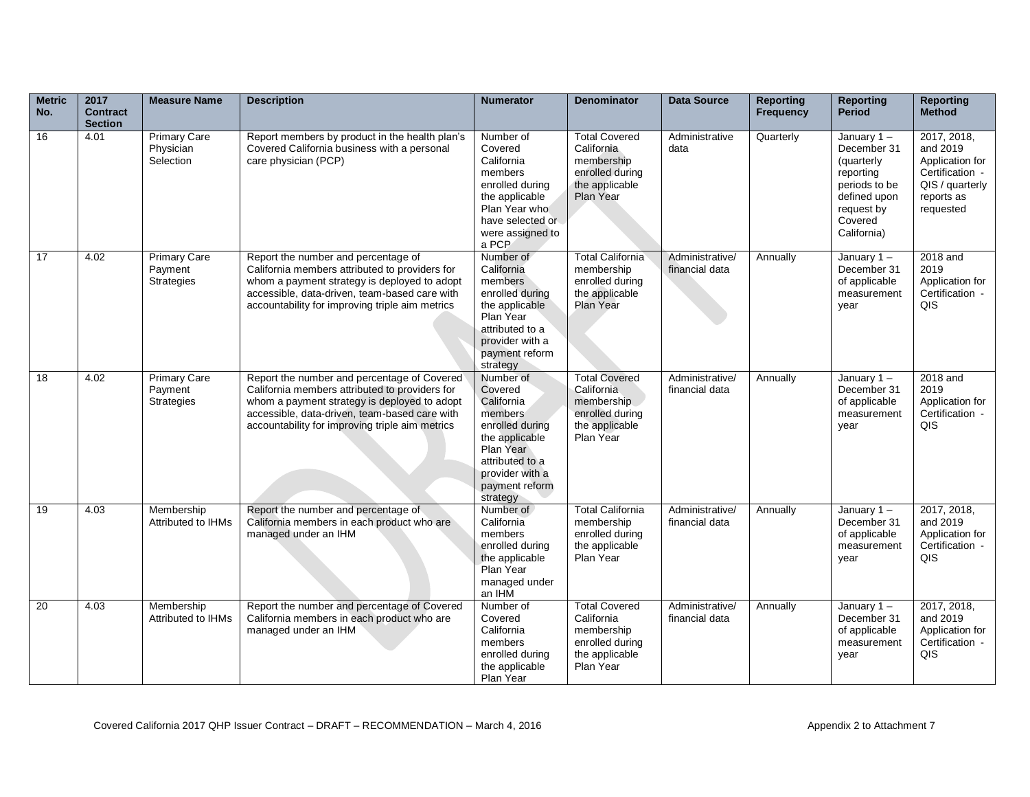| <b>Metric</b><br>No. | 2017<br><b>Contract</b><br><b>Section</b> | <b>Measure Name</b>                                 | <b>Description</b>                                                                                                                                                                                                                                | <b>Numerator</b>                                                                                                                                                    | <b>Denominator</b>                                                                                 | <b>Data Source</b>                | <b>Reporting</b><br><b>Frequency</b> | <b>Reporting</b><br><b>Period</b>                                                                                             | <b>Reporting</b><br><b>Method</b>                                                                                         |
|----------------------|-------------------------------------------|-----------------------------------------------------|---------------------------------------------------------------------------------------------------------------------------------------------------------------------------------------------------------------------------------------------------|---------------------------------------------------------------------------------------------------------------------------------------------------------------------|----------------------------------------------------------------------------------------------------|-----------------------------------|--------------------------------------|-------------------------------------------------------------------------------------------------------------------------------|---------------------------------------------------------------------------------------------------------------------------|
| 16                   | 4.01                                      | <b>Primary Care</b><br>Physician<br>Selection       | Report members by product in the health plan's<br>Covered California business with a personal<br>care physician (PCP)                                                                                                                             | Number of<br>Covered<br>California<br>members<br>enrolled during<br>the applicable<br>Plan Year who<br>have selected or<br>were assigned to<br>a PCP                | <b>Total Covered</b><br>California<br>membership<br>enrolled during<br>the applicable<br>Plan Year | Administrative<br>data            | Quarterly                            | January 1-<br>December 31<br>(quarterly<br>reporting<br>periods to be<br>defined upon<br>request by<br>Covered<br>California) | $\overline{2017}$ , 2018,<br>and 2019<br>Application for<br>Certification -<br>QIS / quarterly<br>reports as<br>requested |
| 17                   | 4.02                                      | <b>Primary Care</b><br>Payment<br><b>Strategies</b> | Report the number and percentage of<br>California members attributed to providers for<br>whom a payment strategy is deployed to adopt<br>accessible, data-driven, team-based care with<br>accountability for improving triple aim metrics         | Number of<br>California<br>members<br>enrolled during<br>the applicable<br>Plan Year<br>attributed to a<br>provider with a<br>payment reform<br>strategy            | <b>Total California</b><br>membership<br>enrolled during<br>the applicable<br>Plan Year            | Administrative/<br>financial data | Annually                             | January 1-<br>December 31<br>of applicable<br>measurement<br>year                                                             | 2018 and<br>2019<br>Application for<br>Certification -<br>QIS                                                             |
| 18                   | 4.02                                      | <b>Primary Care</b><br>Payment<br><b>Strategies</b> | Report the number and percentage of Covered<br>California members attributed to providers for<br>whom a payment strategy is deployed to adopt<br>accessible, data-driven, team-based care with<br>accountability for improving triple aim metrics | Number of<br>Covered<br>California<br>members<br>enrolled during<br>the applicable<br>Plan Year<br>attributed to a<br>provider with a<br>payment reform<br>strategy | <b>Total Covered</b><br>California<br>membership<br>enrolled during<br>the applicable<br>Plan Year | Administrative/<br>financial data | Annually                             | January 1-<br>December 31<br>of applicable<br>measurement<br>year                                                             | 2018 and<br>2019<br>Application for<br>Certification -<br>QIS                                                             |
| 19                   | 4.03                                      | Membership<br>Attributed to IHMs                    | Report the number and percentage of<br>California members in each product who are<br>managed under an IHM                                                                                                                                         | Number of<br>California<br>members<br>enrolled during<br>the applicable<br>Plan Year<br>managed under<br>an IHM                                                     | <b>Total California</b><br>membership<br>enrolled during<br>the applicable<br>Plan Year            | Administrative/<br>financial data | Annually                             | January $1 -$<br>December 31<br>of applicable<br>measurement<br>year                                                          | 2017, 2018,<br>and 2019<br>Application for<br>Certification -<br>QIS                                                      |
| 20                   | 4.03                                      | Membership<br>Attributed to IHMs                    | Report the number and percentage of Covered<br>California members in each product who are<br>managed under an IHM                                                                                                                                 | Number of<br>Covered<br>California<br>members<br>enrolled during<br>the applicable<br>Plan Year                                                                     | <b>Total Covered</b><br>California<br>membership<br>enrolled during<br>the applicable<br>Plan Year | Administrative/<br>financial data | Annually                             | January $1 -$<br>December 31<br>of applicable<br>measurement<br>year                                                          | 2017, 2018,<br>and 2019<br>Application for<br>Certification -<br>QIS                                                      |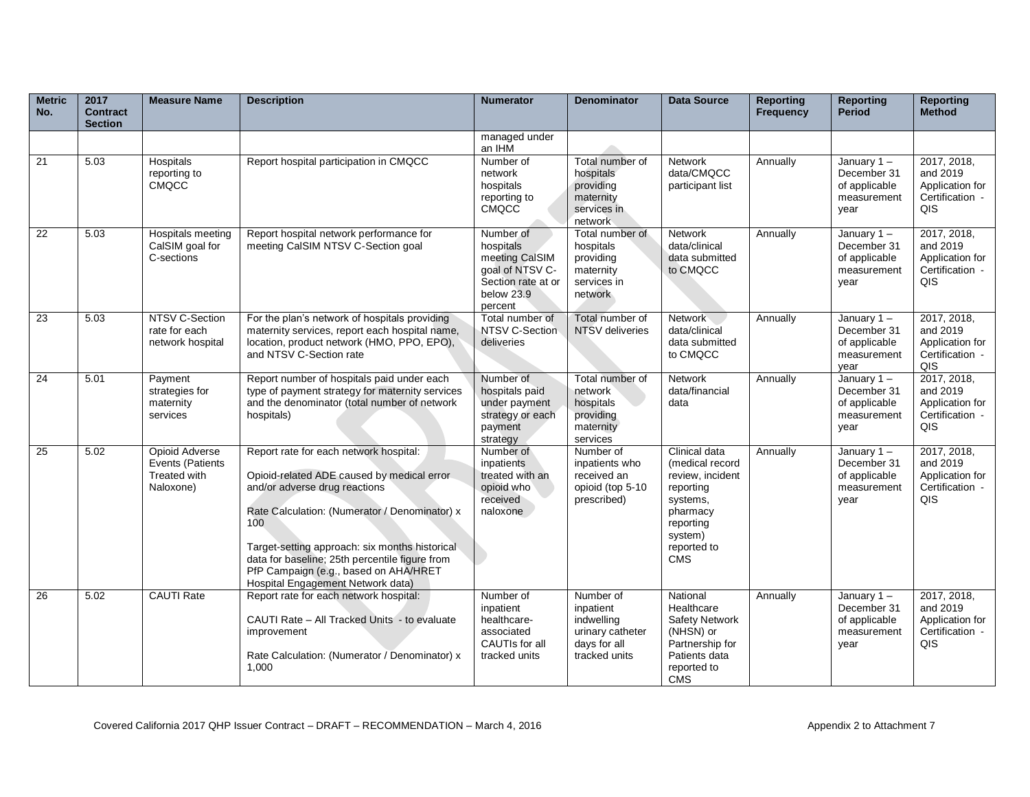| <b>Metric</b><br>No. | 2017<br><b>Contract</b><br><b>Section</b> | <b>Measure Name</b>                                             | <b>Description</b>                                                                                                                                                                                                                                                                                                                                              | <b>Numerator</b>                                                                                           | <b>Denominator</b>                                                                        | <b>Data Source</b>                                                                                                                             | <b>Reporting</b><br><b>Frequency</b> | <b>Reporting</b><br><b>Period</b>                                    | <b>Reporting</b><br><b>Method</b>                                    |
|----------------------|-------------------------------------------|-----------------------------------------------------------------|-----------------------------------------------------------------------------------------------------------------------------------------------------------------------------------------------------------------------------------------------------------------------------------------------------------------------------------------------------------------|------------------------------------------------------------------------------------------------------------|-------------------------------------------------------------------------------------------|------------------------------------------------------------------------------------------------------------------------------------------------|--------------------------------------|----------------------------------------------------------------------|----------------------------------------------------------------------|
|                      |                                           |                                                                 |                                                                                                                                                                                                                                                                                                                                                                 | managed under<br>an IHM                                                                                    |                                                                                           |                                                                                                                                                |                                      |                                                                      |                                                                      |
| 21                   | 5.03                                      | Hospitals<br>reporting to<br><b>CMQCC</b>                       | Report hospital participation in CMQCC                                                                                                                                                                                                                                                                                                                          | Number of<br>network<br>hospitals<br>reporting to<br>CMQCC                                                 | Total number of<br>hospitals<br>providing<br>maternity<br>services in<br>network          | <b>Network</b><br>data/CMQCC<br>participant list                                                                                               | Annually                             | January $1 -$<br>December 31<br>of applicable<br>measurement<br>vear | 2017, 2018,<br>and 2019<br>Application for<br>Certification -<br>QIS |
| 22                   | 5.03                                      | Hospitals meeting<br>CalSIM goal for<br>C-sections              | Report hospital network performance for<br>meeting CalSIM NTSV C-Section goal                                                                                                                                                                                                                                                                                   | Number of<br>hospitals<br>meeting CalSIM<br>goal of NTSV C-<br>Section rate at or<br>below 23.9<br>percent | Total number of<br>hospitals<br>providing<br>maternity<br>services in<br>network          | <b>Network</b><br>data/clinical<br>data submitted<br>to CMQCC                                                                                  | Annually                             | January $1 -$<br>December 31<br>of applicable<br>measurement<br>year | 2017, 2018,<br>and 2019<br>Application for<br>Certification -<br>QIS |
| 23                   | 5.03                                      | NTSV C-Section<br>rate for each<br>network hospital             | For the plan's network of hospitals providing<br>maternity services, report each hospital name,<br>location, product network (HMO, PPO, EPO),<br>and NTSV C-Section rate                                                                                                                                                                                        | Total number of<br>NTSV C-Section<br>deliveries                                                            | Total number of<br>NTSV deliveries                                                        | Network<br>data/clinical<br>data submitted<br>to CMQCC                                                                                         | Annually                             | January $1 -$<br>December 31<br>of applicable<br>measurement<br>vear | 2017, 2018,<br>and 2019<br>Application for<br>Certification -<br>QIS |
| 24                   | 5.01                                      | Payment<br>strategies for<br>maternity<br>services              | Report number of hospitals paid under each<br>type of payment strategy for maternity services<br>and the denominator (total number of network<br>hospitals)                                                                                                                                                                                                     | Number of<br>hospitals paid<br>under payment<br>strategy or each<br>payment<br>strategy                    | Total number of<br>network<br>hospitals<br>providing<br>maternity<br>services             | <b>Network</b><br>data/financial<br>data                                                                                                       | Annually                             | January $1 -$<br>December 31<br>of applicable<br>measurement<br>year | 2017, 2018,<br>and 2019<br>Application for<br>Certification -<br>QIS |
| 25                   | 5.02                                      | Opioid Adverse<br>Events (Patients<br>Treated with<br>Naloxone) | Report rate for each network hospital:<br>Opioid-related ADE caused by medical error<br>and/or adverse drug reactions<br>Rate Calculation: (Numerator / Denominator) x<br>100<br>Target-setting approach: six months historical<br>data for baseline; 25th percentile figure from<br>PfP Campaign (e.g., based on AHA/HRET<br>Hospital Engagement Network data) | Number of<br><i>inpatients</i><br>treated with an<br>opioid who<br>received<br>naloxone                    | Number of<br>inpatients who<br>received an<br>opioid (top 5-10<br>prescribed)             | Clinical data<br>(medical record<br>review, incident<br>reporting<br>systems,<br>pharmacy<br>reporting<br>system)<br>reported to<br><b>CMS</b> | Annually                             | January $1 -$<br>December 31<br>of applicable<br>measurement<br>year | 2017, 2018,<br>and 2019<br>Application for<br>Certification -<br>QIS |
| 26                   | 5.02                                      | <b>CAUTI Rate</b>                                               | Report rate for each network hospital:<br>CAUTI Rate - All Tracked Units - to evaluate<br>improvement<br>Rate Calculation: (Numerator / Denominator) x<br>1.000                                                                                                                                                                                                 | Number of<br>inpatient<br>healthcare-<br>associated<br>CAUTIs for all<br>tracked units                     | Number of<br>inpatient<br>indwelling<br>urinary catheter<br>days for all<br>tracked units | National<br>Healthcare<br><b>Safety Network</b><br>(NHSN) or<br>Partnership for<br>Patients data<br>reported to<br><b>CMS</b>                  | Annually                             | January $1 -$<br>December 31<br>of applicable<br>measurement<br>year | 2017, 2018,<br>and 2019<br>Application for<br>Certification -<br>QIS |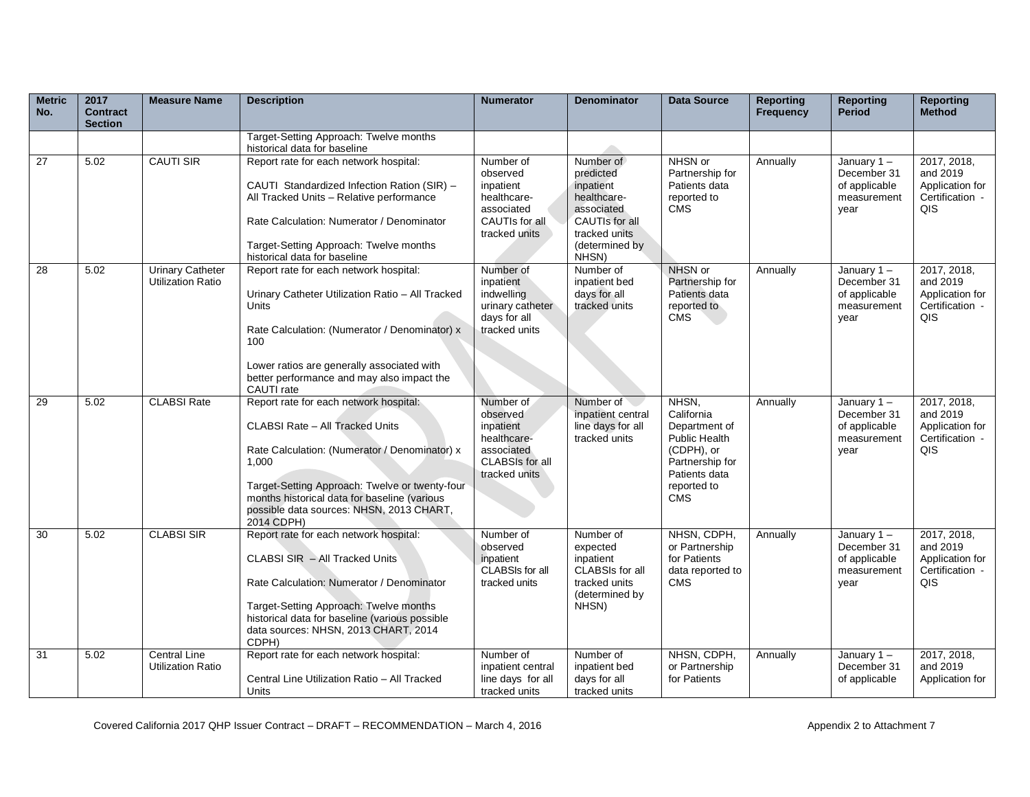| <b>Metric</b><br>No. | 2017<br><b>Contract</b><br><b>Section</b> | <b>Measure Name</b>                                 | <b>Description</b>                                                                                                                                                                                                                                                                              | <b>Numerator</b>                                                                                           | <b>Denominator</b>                                                                                                             | <b>Data Source</b>                                                                                                                          | <b>Reporting</b><br><b>Frequency</b> | <b>Reporting</b><br><b>Period</b>                                    | <b>Reporting</b><br>Method                                           |
|----------------------|-------------------------------------------|-----------------------------------------------------|-------------------------------------------------------------------------------------------------------------------------------------------------------------------------------------------------------------------------------------------------------------------------------------------------|------------------------------------------------------------------------------------------------------------|--------------------------------------------------------------------------------------------------------------------------------|---------------------------------------------------------------------------------------------------------------------------------------------|--------------------------------------|----------------------------------------------------------------------|----------------------------------------------------------------------|
|                      |                                           |                                                     | Target-Setting Approach: Twelve months<br>historical data for baseline                                                                                                                                                                                                                          |                                                                                                            |                                                                                                                                |                                                                                                                                             |                                      |                                                                      |                                                                      |
| 27                   | 5.02                                      | <b>CAUTI SIR</b>                                    | Report rate for each network hospital:<br>CAUTI Standardized Infection Ration (SIR) -<br>All Tracked Units - Relative performance<br>Rate Calculation: Numerator / Denominator<br>Target-Setting Approach: Twelve months<br>historical data for baseline                                        | Number of<br>observed<br>inpatient<br>healthcare-<br>associated<br>CAUTIs for all<br>tracked units         | Number of<br>predicted<br>inpatient<br>healthcare-<br>associated<br>CAUTIs for all<br>tracked units<br>(determined by<br>NHSN) | NHSN or<br>Partnership for<br>Patients data<br>reported to<br><b>CMS</b>                                                                    | Annually                             | January $1 -$<br>December 31<br>of applicable<br>measurement<br>year | 2017, 2018,<br>and 2019<br>Application for<br>Certification -<br>QIS |
| 28                   | 5.02                                      | <b>Urinary Catheter</b><br><b>Utilization Ratio</b> | Report rate for each network hospital:<br>Urinary Catheter Utilization Ratio - All Tracked<br>Units<br>Rate Calculation: (Numerator / Denominator) x<br>100<br>Lower ratios are generally associated with<br>better performance and may also impact the<br>CAUTI rate                           | Number of<br>inpatient<br>indwelling<br>urinary catheter<br>days for all<br>tracked units                  | Number of<br>inpatient bed<br>days for all<br>tracked units                                                                    | NHSN or<br>Partnership for<br>Patients data<br>reported to<br><b>CMS</b>                                                                    | Annually                             | January $1 -$<br>December 31<br>of applicable<br>measurement<br>year | 2017, 2018,<br>and 2019<br>Application for<br>Certification -<br>QIS |
| 29                   | 5.02                                      | <b>CLABSI Rate</b>                                  | Report rate for each network hospital:<br>CLABSI Rate - All Tracked Units<br>Rate Calculation: (Numerator / Denominator) x<br>1.000<br>Target-Setting Approach: Twelve or twenty-four<br>months historical data for baseline (various<br>possible data sources: NHSN, 2013 CHART,<br>2014 CDPH) | Number of<br>observed<br>inpatient<br>healthcare-<br>associated<br><b>CLABSIs for all</b><br>tracked units | Number of<br>inpatient central<br>line days for all<br>tracked units                                                           | NHSN,<br>California<br>Department of<br><b>Public Health</b><br>(CDPH), or<br>Partnership for<br>Patients data<br>reported to<br><b>CMS</b> | Annually                             | January $1 -$<br>December 31<br>of applicable<br>measurement<br>year | 2017, 2018,<br>and 2019<br>Application for<br>Certification -<br>QIS |
| 30                   | 5.02                                      | <b>CLABSI SIR</b>                                   | Report rate for each network hospital:<br>CLABSI SIR - All Tracked Units<br>Rate Calculation: Numerator / Denominator<br>Target-Setting Approach: Twelve months<br>historical data for baseline (various possible<br>data sources: NHSN, 2013 CHART, 2014<br>CDPH)                              | Number of<br>observed<br>inpatient<br>CLABSIs for all<br>tracked units                                     | Number of<br>expected<br>inpatient<br>CLABSIs for all<br>tracked units<br>(determined by<br>NHSN)                              | NHSN, CDPH,<br>or Partnership<br>for Patients<br>data reported to<br>CMS                                                                    | Annually                             | January $1 -$<br>December 31<br>of applicable<br>measurement<br>vear | 2017, 2018,<br>and 2019<br>Application for<br>Certification -<br>QIS |
| 31                   | 5.02                                      | <b>Central Line</b><br><b>Utilization Ratio</b>     | Report rate for each network hospital:<br>Central Line Utilization Ratio - All Tracked<br>Units                                                                                                                                                                                                 | Number of<br>inpatient central<br>line days for all<br>tracked units                                       | Number of<br>inpatient bed<br>days for all<br>tracked units                                                                    | NHSN, CDPH,<br>or Partnership<br>for Patients                                                                                               | Annually                             | January $1 -$<br>December 31<br>of applicable                        | 2017, 2018,<br>and 2019<br>Application for                           |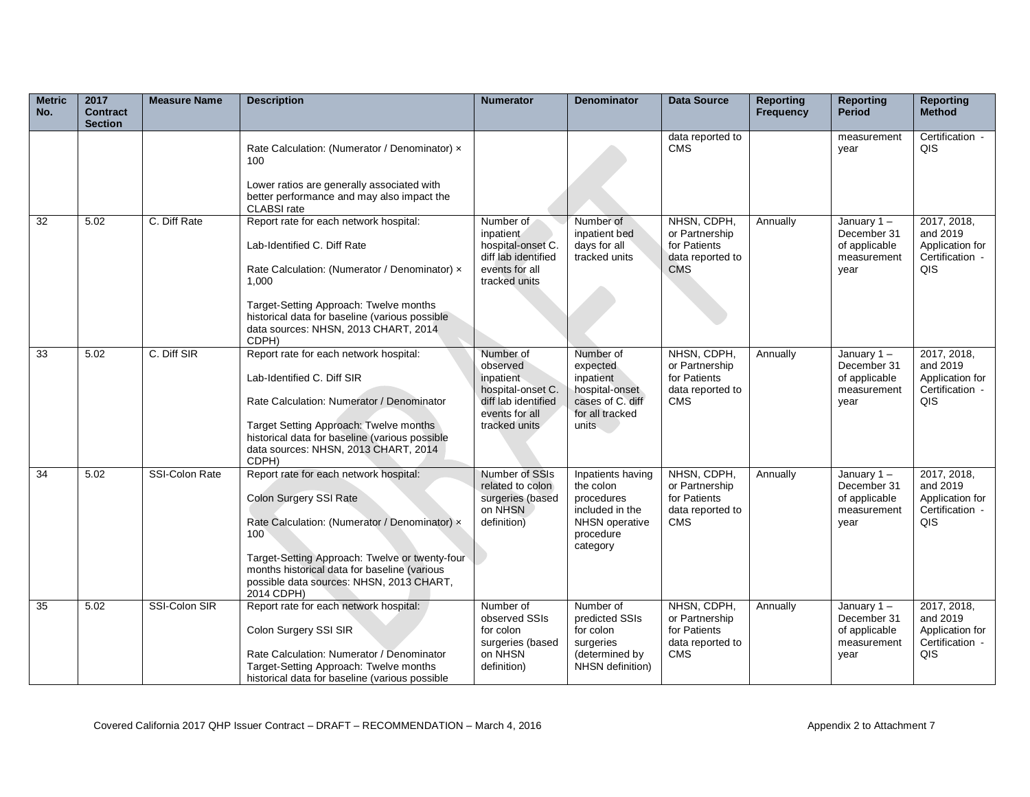| <b>Metric</b><br>No. | 2017<br><b>Contract</b><br><b>Section</b> | <b>Measure Name</b> | <b>Description</b>                                                                                                                                                                                                                                                                   | <b>Numerator</b>                                                                                                  | <b>Denominator</b>                                                                                                | <b>Data Source</b>                                                              | <b>Reporting</b><br><b>Frequency</b> | <b>Reporting</b><br><b>Period</b>                                 | <b>Reporting</b><br><b>Method</b>                                    |
|----------------------|-------------------------------------------|---------------------|--------------------------------------------------------------------------------------------------------------------------------------------------------------------------------------------------------------------------------------------------------------------------------------|-------------------------------------------------------------------------------------------------------------------|-------------------------------------------------------------------------------------------------------------------|---------------------------------------------------------------------------------|--------------------------------------|-------------------------------------------------------------------|----------------------------------------------------------------------|
|                      |                                           |                     | Rate Calculation: (Numerator / Denominator) x<br>100<br>Lower ratios are generally associated with<br>better performance and may also impact the<br><b>CLABSI</b> rate                                                                                                               |                                                                                                                   |                                                                                                                   | data reported to<br><b>CMS</b>                                                  |                                      | measurement<br>year                                               | Certification -<br>QIS                                               |
| 32                   | 5.02                                      | C. Diff Rate        | Report rate for each network hospital:<br>Lab-Identified C. Diff Rate<br>Rate Calculation: (Numerator / Denominator) x<br>1.000<br>Target-Setting Approach: Twelve months<br>historical data for baseline (various possible<br>data sources: NHSN, 2013 CHART, 2014<br>CDPH)         | Number of<br>inpatient<br>hospital-onset C.<br>diff lab identified<br>events for all<br>tracked units             | Number of<br>inpatient bed<br>days for all<br>tracked units                                                       | NHSN, CDPH,<br>or Partnership<br>for Patients<br>data reported to<br><b>CMS</b> | Annually                             | January 1-<br>December 31<br>of applicable<br>measurement<br>vear | 2017, 2018,<br>and 2019<br>Application for<br>Certification -<br>QIS |
| 33                   | 5.02                                      | C. Diff SIR         | Report rate for each network hospital:<br>Lab-Identified C. Diff SIR<br>Rate Calculation: Numerator / Denominator<br>Target Setting Approach: Twelve months<br>historical data for baseline (various possible<br>data sources: NHSN, 2013 CHART, 2014<br>CDPH)                       | Number of<br>observed<br>inpatient<br>hospital-onset C.<br>diff lab identified<br>events for all<br>tracked units | Number of<br>expected<br>inpatient<br>hospital-onset<br>cases of C. diff<br>for all tracked<br>units              | NHSN, CDPH,<br>or Partnership<br>for Patients<br>data reported to<br><b>CMS</b> | Annually                             | January 1-<br>December 31<br>of applicable<br>measurement<br>year | 2017, 2018,<br>and 2019<br>Application for<br>Certification -<br>QIS |
| 34                   | 5.02                                      | SSI-Colon Rate      | Report rate for each network hospital:<br>Colon Surgery SSI Rate<br>Rate Calculation: (Numerator / Denominator) x<br>100<br>Target-Setting Approach: Twelve or twenty-four<br>months historical data for baseline (various<br>possible data sources: NHSN, 2013 CHART,<br>2014 CDPH) | Number of SSIs<br>related to colon<br>surgeries (based<br>on NHSN<br>definition)                                  | Inpatients having<br>the colon<br>procedures<br>included in the<br><b>NHSN</b> operative<br>procedure<br>category | NHSN, CDPH,<br>or Partnership<br>for Patients<br>data reported to<br><b>CMS</b> | Annually                             | January 1-<br>December 31<br>of applicable<br>measurement<br>year | 2017, 2018,<br>and 2019<br>Application for<br>Certification -<br>QIS |
| 35                   | 5.02                                      | SSI-Colon SIR       | Report rate for each network hospital:<br>Colon Surgery SSI SIR<br>Rate Calculation: Numerator / Denominator<br>Target-Setting Approach: Twelve months<br>historical data for baseline (various possible                                                                             | Number of<br>observed SSIs<br>for colon<br>surgeries (based<br>on NHSN<br>definition)                             | Number of<br>predicted SSIs<br>for colon<br>surgeries<br>(determined by<br>NHSN definition)                       | NHSN, CDPH,<br>or Partnership<br>for Patients<br>data reported to<br><b>CMS</b> | Annually                             | January 1-<br>December 31<br>of applicable<br>measurement<br>year | 2017, 2018,<br>and 2019<br>Application for<br>Certification -<br>QIS |